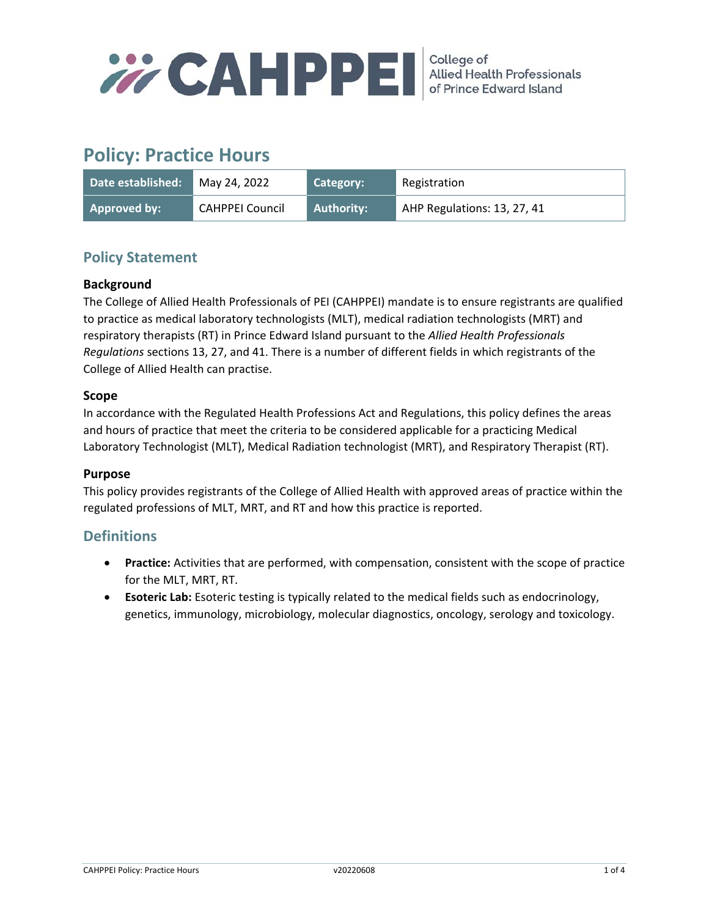

# **Policy: Practice Hours**

| Date established:   | May 24, 2022    | Category:         | Registration                |
|---------------------|-----------------|-------------------|-----------------------------|
| <b>Approved by:</b> | CAHPPEI Council | <b>Authority:</b> | AHP Regulations: 13, 27, 41 |

# **Policy Statement**

#### **Background**

The College of Allied Health Professionals of PEI (CAHPPEI) mandate is to ensure registrants are qualified to practice as medical laboratory technologists (MLT), medical radiation technologists (MRT) and respiratory therapists (RT) in Prince Edward Island pursuant to the *Allied Health Professionals Regulations* sections 13, 27, and 41. There is a number of different fields in which registrants of the College of Allied Health can practise.

#### **Scope**

In accordance with the Regulated Health Professions Act and Regulations, this policy defines the areas and hours of practice that meet the criteria to be considered applicable for a practicing Medical Laboratory Technologist (MLT), Medical Radiation technologist (MRT), and Respiratory Therapist (RT).

#### **Purpose**

This policy provides registrants of the College of Allied Health with approved areas of practice within the regulated professions of MLT, MRT, and RT and how this practice is reported.

## **Definitions**

- **Practice:** Activities that are performed, with compensation, consistent with the scope of practice for the MLT, MRT, RT.
- **Esoteric Lab:** Esoteric testing is typically related to the medical fields such as endocrinology, genetics, immunology, microbiology, molecular diagnostics, oncology, serology and toxicology.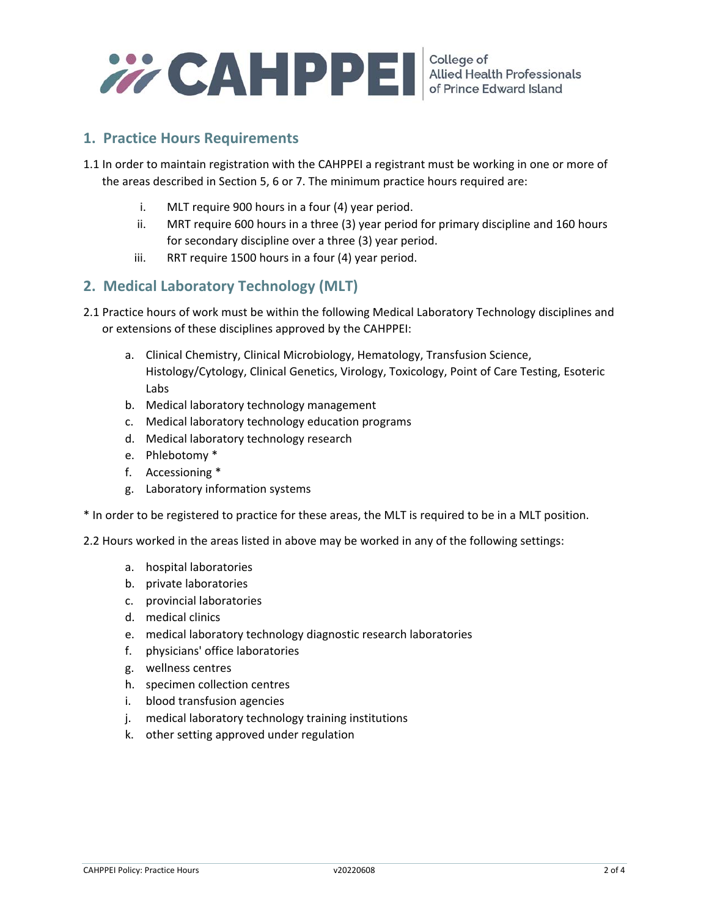

## **1. Practice Hours Requirements**

- 1.1 In order to maintain registration with the CAHPPEI a registrant must be working in one or more of the areas described in Section 5, 6 or 7. The minimum practice hours required are:
	- i. MLT require 900 hours in a four (4) year period.
	- ii. MRT require 600 hours in a three (3) year period for primary discipline and 160 hours for secondary discipline over a three (3) year period.
	- iii. RRT require 1500 hours in a four (4) year period.

## **2. Medical Laboratory Technology (MLT)**

- 2.1 Practice hours of work must be within the following Medical Laboratory Technology disciplines and or extensions of these disciplines approved by the CAHPPEI:
	- a. Clinical Chemistry, Clinical Microbiology, Hematology, Transfusion Science, Histology/Cytology, Clinical Genetics, Virology, Toxicology, Point of Care Testing, Esoteric Labs
	- b. Medical laboratory technology management
	- c. Medical laboratory technology education programs
	- d. Medical laboratory technology research
	- e. Phlebotomy \*
	- f. Accessioning \*
	- g. Laboratory information systems

\* In order to be registered to practice for these areas, the MLT is required to be in a MLT position.

2.2 Hours worked in the areas listed in above may be worked in any of the following settings:

- a. hospital laboratories
- b. private laboratories
- c. provincial laboratories
- d. medical clinics
- e. medical laboratory technology diagnostic research laboratories
- f. physicians' office laboratories
- g. wellness centres
- h. specimen collection centres
- i. blood transfusion agencies
- j. medical laboratory technology training institutions
- k. other setting approved under regulation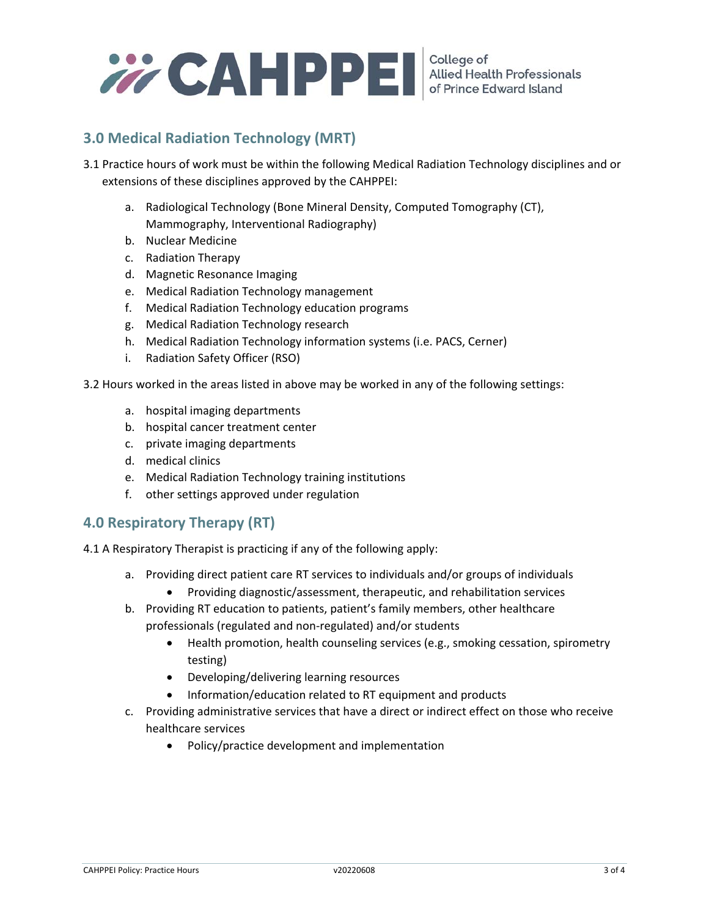

# **3.0 Medical Radiation Technology (MRT)**

- 3.1 Practice hours of work must be within the following Medical Radiation Technology disciplines and or extensions of these disciplines approved by the CAHPPEI:
	- a. Radiological Technology (Bone Mineral Density, Computed Tomography (CT), Mammography, Interventional Radiography)
	- b. Nuclear Medicine
	- c. Radiation Therapy
	- d. Magnetic Resonance Imaging
	- e. Medical Radiation Technology management
	- f. Medical Radiation Technology education programs
	- g. Medical Radiation Technology research
	- h. Medical Radiation Technology information systems (i.e. PACS, Cerner)
	- i. Radiation Safety Officer (RSO)

3.2 Hours worked in the areas listed in above may be worked in any of the following settings:

- a. hospital imaging departments
- b. hospital cancer treatment center
- c. private imaging departments
- d. medical clinics
- e. Medical Radiation Technology training institutions
- f. other settings approved under regulation

## **4.0 Respiratory Therapy (RT)**

4.1 A Respiratory Therapist is practicing if any of the following apply:

- a. Providing direct patient care RT services to individuals and/or groups of individuals
	- Providing diagnostic/assessment, therapeutic, and rehabilitation services
- b. Providing RT education to patients, patient's family members, other healthcare professionals (regulated and non‐regulated) and/or students
	- Health promotion, health counseling services (e.g., smoking cessation, spirometry testing)
	- Developing/delivering learning resources
	- Information/education related to RT equipment and products
- c. Providing administrative services that have a direct or indirect effect on those who receive healthcare services
	- Policy/practice development and implementation